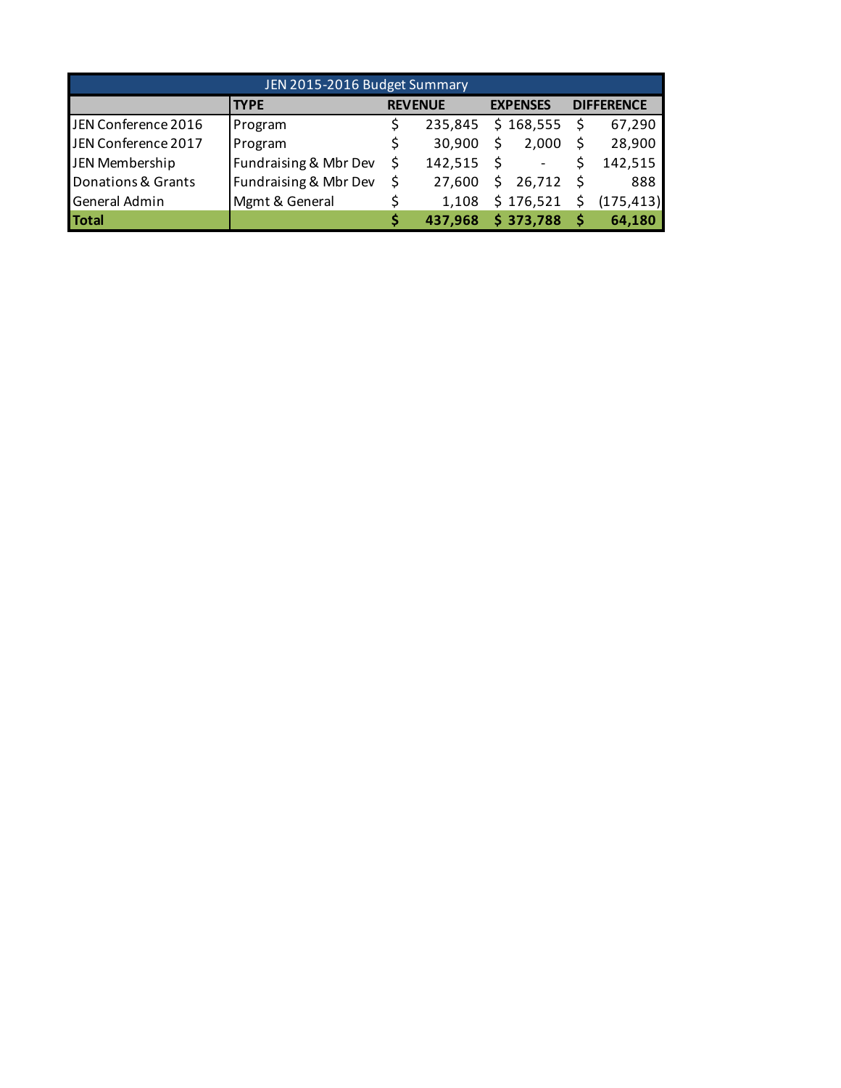| JEN 2015-2016 Budget Summary |                       |                |         |    |                          |  |                   |  |  |  |
|------------------------------|-----------------------|----------------|---------|----|--------------------------|--|-------------------|--|--|--|
|                              | <b>TYPE</b>           | <b>REVENUE</b> |         |    | <b>EXPENSES</b>          |  | <b>DIFFERENCE</b> |  |  |  |
| JEN Conference 2016          | Program               |                | 235,845 |    | \$168,555                |  | 67,290            |  |  |  |
| JEN Conference 2017          | Program               |                | 30.900  | Ś  | 2.000                    |  | 28,900            |  |  |  |
| JEN Membership               | Fundraising & Mbr Dev |                | 142,515 |    | $\overline{\phantom{a}}$ |  | 142,515           |  |  |  |
| Donations & Grants           | Fundraising & Mbr Dev |                | 27.600  | S. | 26,712                   |  | 888               |  |  |  |
| General Admin                | Mgmt & General        |                | 1,108   |    | \$176,521                |  | (175, 413)        |  |  |  |
| <b>Total</b>                 |                       |                | 437,968 |    | \$373,788                |  | 64,180            |  |  |  |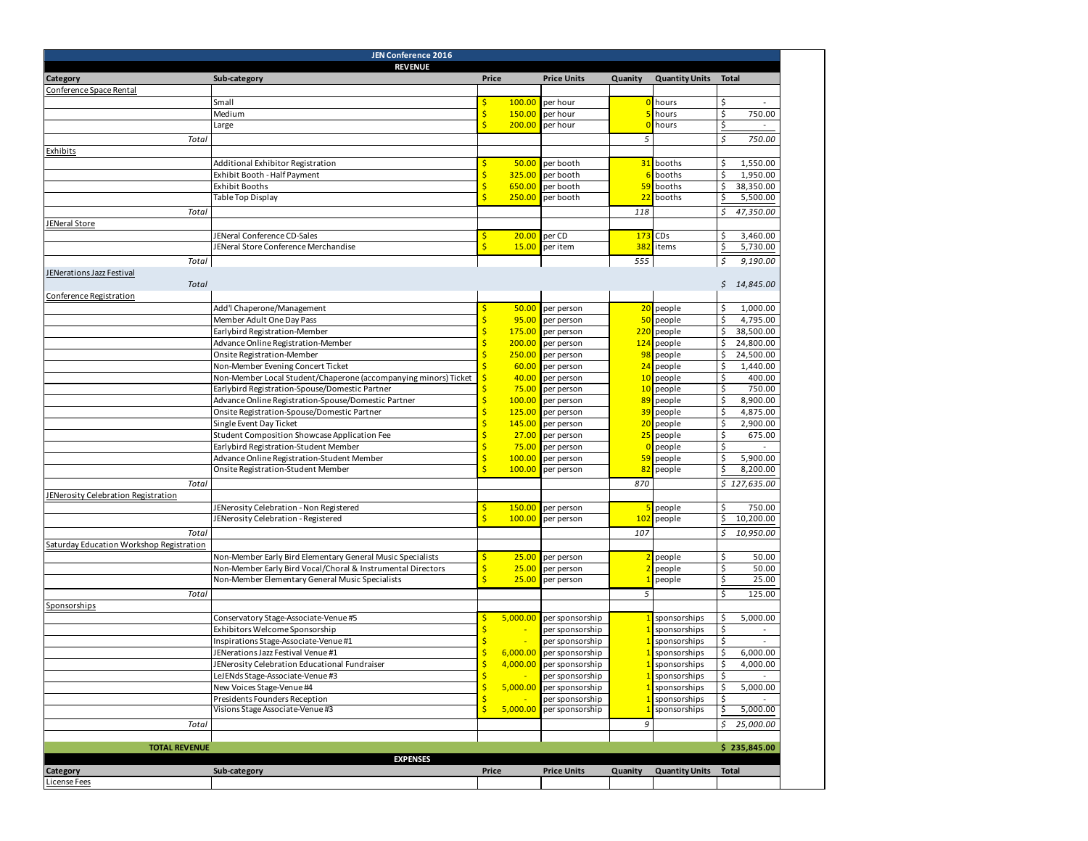| JEN Conference 2016                        |                                                                 |       |          |                    |         |                       |              |                |  |
|--------------------------------------------|-----------------------------------------------------------------|-------|----------|--------------------|---------|-----------------------|--------------|----------------|--|
|                                            | <b>REVENUE</b>                                                  |       |          |                    |         |                       |              |                |  |
| Category                                   | Sub-category                                                    | Price |          | <b>Price Units</b> | Quanity | <b>Quantity Units</b> | <b>Total</b> |                |  |
| Conference Space Rental                    |                                                                 |       |          |                    |         |                       |              |                |  |
|                                            | Small                                                           | \$    | 100.00   | per hour           |         | hours                 | \$           | $\omega$       |  |
|                                            | Medium                                                          |       | 150.00   | per hour           |         | hours                 | \$           | 750.00         |  |
|                                            | Large                                                           | Ś     | 200.00   | per hour           |         | hours                 | \$           | $\blacksquare$ |  |
|                                            |                                                                 |       |          |                    |         |                       |              |                |  |
| Total                                      |                                                                 |       |          |                    | 5       |                       | Ś            | 750.00         |  |
| Exhibits                                   |                                                                 |       |          |                    |         |                       |              |                |  |
|                                            | Additional Exhibitor Registration                               |       | 50.00    | per booth          |         | 31 booths             | \$           | 1,550.00       |  |
|                                            | Exhibit Booth - Half Payment                                    |       | 325.00   | per booth          |         | booths                | \$           | 1,950.00       |  |
|                                            | <b>Exhibit Booths</b>                                           |       | 650.00   | per booth          | 59      | booths                | \$           | 38,350.00      |  |
|                                            | Table Top Display                                               |       | 250.00   | per booth          |         | 22 booths             | Ş            | 5,500.00       |  |
|                                            |                                                                 |       |          |                    | 118     |                       | \$           | 47,350.00      |  |
| Total                                      |                                                                 |       |          |                    |         |                       |              |                |  |
| <b>JENeral Store</b>                       |                                                                 |       |          |                    |         |                       |              |                |  |
|                                            | JENeral Conference CD-Sales                                     | Ś     | 20.00    | per CD             | 173     | CDs                   | \$           | 3,460.00       |  |
|                                            | JENeral Store Conference Merchandise                            | Ś     | 15.00    | per item           | 382     | items                 | \$           | 5,730.00       |  |
| Total                                      |                                                                 |       |          |                    | 555     |                       | \$           | 9,190.00       |  |
| <u>JENerations Jazz Festival</u>           |                                                                 |       |          |                    |         |                       |              |                |  |
| Total                                      |                                                                 |       |          |                    |         |                       |              | \$14,845.00    |  |
| Conference Registration                    |                                                                 |       |          |                    |         |                       |              |                |  |
|                                            |                                                                 |       |          |                    |         |                       |              |                |  |
|                                            | Add'l Chaperone/Management                                      | \$    | 50.00    | per person         |         | 20 people             | \$           | 1,000.00       |  |
|                                            | Member Adult One Day Pass                                       |       | 95.00    | per person         |         | 50 people             | \$           | 4,795.00       |  |
|                                            | Earlybird Registration-Member                                   | Ś     | 175.00   | per person         | 220     | people                | \$           | 38,500.00      |  |
|                                            | Advance Online Registration-Member                              |       | 200.00   | per person         | 124     | people                | \$           | 24,800.00      |  |
|                                            | Onsite Registration-Member                                      |       | 250.00   | per person         |         | 98 people             | \$           | 24,500.00      |  |
|                                            | Non-Member Evening Concert Ticket                               |       | 60.00    | per person         |         | 24 people             | \$           | 1,440.00       |  |
|                                            | Non-Member Local Student/Chaperone (accompanying minors) Ticket |       | 40.00    | per person         |         | 10 people             | \$           | 400.00         |  |
|                                            | Earlybird Registration-Spouse/Domestic Partner                  |       | 75.00    | per person         | 10      | people                | \$           | 750.00         |  |
|                                            | Advance Online Registration-Spouse/Domestic Partner             | Ś     | 100.00   | per person         | 89      | people                | \$           | 8,900.00       |  |
|                                            | Onsite Registration-Spouse/Domestic Partner                     |       | 125.00   | per person         |         | 39 people             | \$           | 4,875.00       |  |
|                                            |                                                                 |       |          |                    |         |                       | \$           |                |  |
|                                            | Single Event Day Ticket                                         |       | 145.00   | per person         | 20      | people                |              | 2,900.00       |  |
|                                            | Student Composition Showcase Application Fee                    |       | 27.00    | per person         | 25      | people                | \$           | 675.00         |  |
|                                            | Earlybird Registration-Student Member                           |       | 75.00    | per person         |         | people                | \$           | $\omega$       |  |
|                                            | Advance Online Registration-Student Member                      |       | 100.00   | per person         | 59      | people                | \$           | 5,900.00       |  |
|                                            | Onsite Registration-Student Member                              |       | 100.00   | per person         |         | 82 people             | \$           | 8,200.00       |  |
| Total                                      |                                                                 |       |          |                    | 870     |                       |              | \$127,635.00   |  |
| <b>JENerosity Celebration Registration</b> |                                                                 |       |          |                    |         |                       |              |                |  |
|                                            |                                                                 |       |          |                    |         |                       |              |                |  |
|                                            | JENerosity Celebration - Non Registered                         | Ś     | 150.00   | per person         |         | people                | \$           | 750.00         |  |
|                                            | JENerosity Celebration - Registered                             |       | 100.00   | per person         |         | 102 people            | \$           | 10,200.00      |  |
| Total                                      |                                                                 |       |          |                    | 107     |                       | \$           | 10,950.00      |  |
| Saturday Education Workshop Registration   |                                                                 |       |          |                    |         |                       |              |                |  |
|                                            | Non-Member Early Bird Elementary General Music Specialists      |       | 25.00    | per person         |         | people                | \$           | 50.00          |  |
|                                            | Non-Member Early Bird Vocal/Choral & Instrumental Directors     |       | 25.00    | per person         |         | people                | \$           | 50.00          |  |
|                                            | Non-Member Elementary General Music Specialists                 |       | 25.00    | per person         |         | people                | \$           | 25.00          |  |
|                                            |                                                                 |       |          |                    |         |                       |              |                |  |
| Total                                      |                                                                 |       |          |                    | 5       |                       | \$           | 125.00         |  |
| Sponsorships                               |                                                                 |       |          |                    |         |                       |              |                |  |
|                                            | Conservatory Stage-Associate-Venue #5                           |       | 5,000.00 | per sponsorship    |         | sponsorships          | \$           | 5,000.00       |  |
|                                            | Exhibitors Welcome Sponsorship                                  |       |          | per sponsorship    |         | sponsorships          | \$           |                |  |
|                                            | Inspirations Stage-Associate-Venue #1                           |       |          | per sponsorship    |         | sponsorships          | \$           |                |  |
|                                            | JENerations Jazz Festival Venue #1                              |       | 6,000.00 | per sponsorship    |         | sponsorships          | \$           | 6,000.00       |  |
|                                            | JENerosity Celebration Educational Fundraiser                   |       | 4,000.00 | per sponsorship    |         | sponsorships          |              | 4,000.00       |  |
|                                            | LeJENds Stage-Associate-Venue #3                                | \$    |          | per sponsorship    |         | sponsorships          | \$           |                |  |
|                                            |                                                                 |       |          |                    |         |                       | \$           |                |  |
|                                            | New Voices Stage-Venue #4                                       |       | 5,000.00 | per sponsorship    |         | sponsorships          |              | 5,000.00       |  |
|                                            | Presidents Founders Reception                                   |       |          | per sponsorship    |         | sponsorships          | \$           |                |  |
|                                            | Visions Stage Associate-Venue #3                                | Ś     | 5,000.00 | per sponsorship    |         | sponsorships          |              | 5,000.00       |  |
| Total                                      |                                                                 |       |          |                    | 9       |                       | \$           | 25,000.00      |  |
|                                            |                                                                 |       |          |                    |         |                       |              |                |  |
| <b>TOTAL REVENUE</b>                       |                                                                 |       |          |                    |         |                       |              | \$235,845.00   |  |
|                                            | <b>EXPENSES</b>                                                 |       |          |                    |         |                       |              |                |  |
| Category                                   | Sub-category                                                    | Price |          | <b>Price Units</b> | Quanity | <b>Quantity Units</b> | <b>Total</b> |                |  |
|                                            |                                                                 |       |          |                    |         |                       |              |                |  |
| License Fees                               |                                                                 |       |          |                    |         |                       |              |                |  |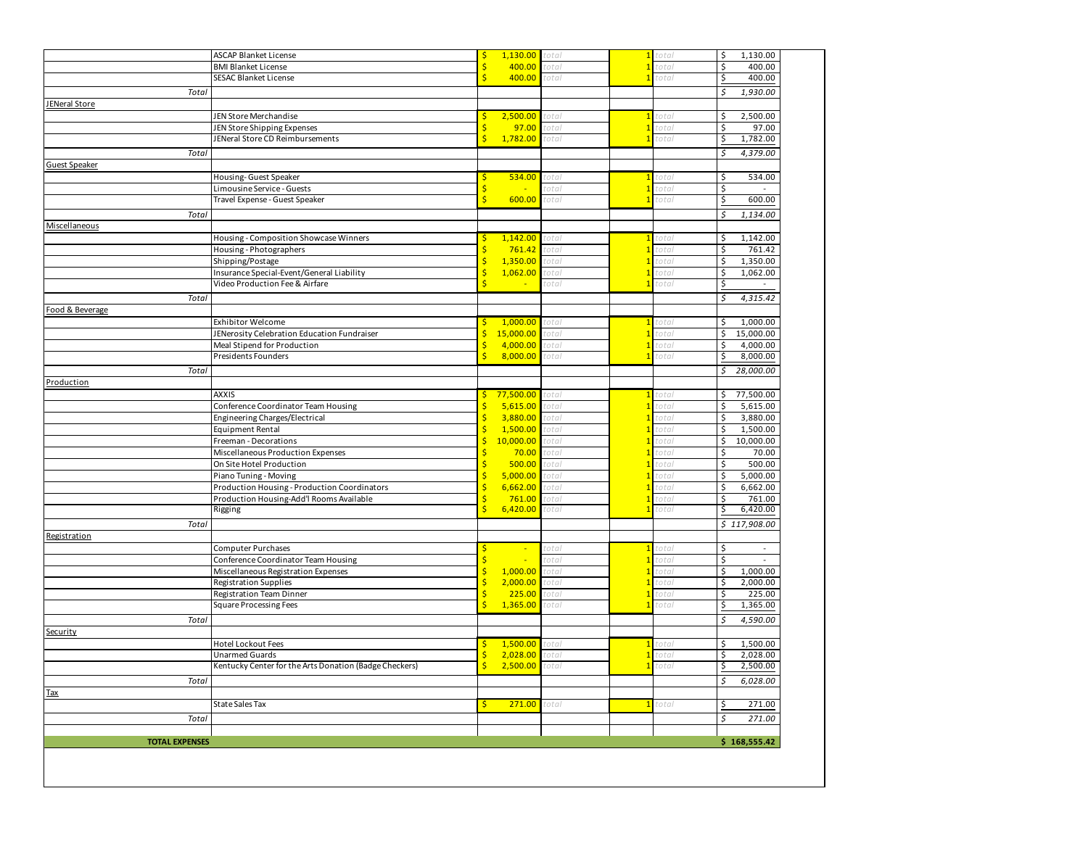|                       | <b>ASCAP Blanket License</b>                                                    | \$           | 1,130.00              | otal:             |              | otal           | \$<br>1,130.00                   |
|-----------------------|---------------------------------------------------------------------------------|--------------|-----------------------|-------------------|--------------|----------------|----------------------------------|
|                       | <b>BMI Blanket License</b>                                                      | \$           | 400.00                | total             |              | total          | \$<br>400.00                     |
|                       | <b>SESAC Blanket License</b>                                                    | Ś.           | 400.00                | total             |              | total          | \$<br>400.00                     |
| Total                 |                                                                                 |              |                       |                   |              |                | \$<br>1,930.00                   |
| JENeral Store         |                                                                                 |              |                       |                   |              |                |                                  |
|                       | JEN Store Merchandise                                                           | Ś            | 2,500.00              | total             |              | total          | 2,500.00<br>\$                   |
|                       | JEN Store Shipping Expenses                                                     | \$           | 97.00                 | otal:             |              | total          | \$<br>97.00                      |
|                       | JENeral Store CD Reimbursements                                                 | Ś            | 1,782.00              | total             |              | total          | 1,782.00<br>\$                   |
| Total                 |                                                                                 |              |                       |                   |              |                | \$<br>4,379.00                   |
| Guest Speaker         |                                                                                 |              |                       |                   |              |                |                                  |
|                       | Housing- Guest Speaker                                                          | S            | 534.00                | otal <sup>.</sup> |              | total:         | \$<br>534.00                     |
|                       | Limousine Service - Guests                                                      | Ś            | ×.                    | otal              |              | total          | \$                               |
|                       | Travel Expense - Guest Speaker                                                  | $\mathsf{S}$ | 600.00                | total             |              | total          | \$<br>600.00                     |
| Total                 |                                                                                 |              |                       |                   |              |                | 1,134.00<br>\$                   |
| Miscellaneous         |                                                                                 |              |                       |                   |              |                |                                  |
|                       | Housing - Composition Showcase Winners                                          | Ś            | 1,142.00              | total             |              | tota           | \$<br>1,142.00                   |
|                       | Housing - Photographers                                                         |              | 761.42                | total             |              | total          | \$<br>761.42                     |
|                       | Shipping/Postage                                                                | Ś            | 1,350.00              | total             |              | total          | \$<br>1,350.00                   |
|                       | Insurance Special-Event/General Liability                                       | \$           | 1,062.00              | total             |              | total          | \$<br>1,062.00                   |
|                       | Video Production Fee & Airfare                                                  | Ś            | $\blacksquare$        | total             |              | total          | \$<br>$\sim$                     |
| Total                 |                                                                                 |              |                       |                   |              |                | \$<br>4,315.42                   |
| Food & Beverage       |                                                                                 |              |                       |                   |              |                |                                  |
|                       | Exhibitor Welcome                                                               | \$           | 1,000.00              | total             |              | total          | 1,000.00<br>\$                   |
|                       | JENerosity Celebration Education Fundraiser                                     | \$           | 15,000.00             | total             |              | total          | \$<br>15,000.00                  |
|                       | Meal Stipend for Production                                                     | \$           | 4,000.00              | total             |              | total:         | \$<br>4,000.00                   |
|                       | Presidents Founders                                                             | $\mathsf{S}$ | 8,000.00              | total             |              | total          | \$<br>8,000.00                   |
| Total                 |                                                                                 |              |                       |                   |              |                | 28,000.00<br>\$                  |
| Production            |                                                                                 |              |                       |                   |              |                |                                  |
|                       |                                                                                 |              |                       |                   |              |                |                                  |
|                       | <b>AXXIS</b>                                                                    | \$<br>Ś      | 77,500.00<br>5,615.00 | total             | $\mathbf{1}$ | total          | \$<br>77,500.00<br>5,615.00      |
|                       | Conference Coordinator Team Housing<br>Engineering Charges/Electrical           | Ś            | 3,880.00              | total<br>total    |              | total<br>total | \$<br>\$                         |
|                       |                                                                                 |              | 1,500.00              |                   |              |                | 3,880.00<br>1,500.00             |
|                       | <b>Equipment Rental</b><br>Freeman - Decorations                                | Ś            | 10,000.00             | total<br>total    |              | total<br>otal  | \$<br>\$<br>10,000.00            |
|                       | Miscellaneous Production Expenses                                               |              | 70.00                 | otal <sup>.</sup> |              | otal           | \$<br>70.00                      |
|                       | On Site Hotel Production                                                        |              | 500.00                | total             |              | total          | \$<br>500.00                     |
|                       | Piano Tuning - Moving                                                           | \$           | 5,000.00              | otal              |              | total          | \$<br>5,000.00                   |
|                       | Production Housing - Production Coordinators                                    | \$           | 6,662.00              | total             |              | total          | \$<br>6,662.00                   |
|                       | Production Housing-Add'l Rooms Available                                        | Ś            | 761.00                | total             |              | total          | \$<br>761.00                     |
|                       | Rigging                                                                         | \$           | 6,420.00              | total             |              | total          | 6,420.00<br>\$                   |
| Total                 |                                                                                 |              |                       |                   |              |                | \$117,908.00                     |
| Registration          |                                                                                 |              |                       |                   |              |                |                                  |
|                       | <b>Computer Purchases</b>                                                       | S            | ÷                     | total             | $\mathbf{1}$ | total          | \$<br>$\blacksquare$             |
|                       | Conference Coordinator Team Housing                                             |              | ٠                     | otal:             |              | total          | \$                               |
|                       | Miscellaneous Registration Expenses                                             | \$           | 1,000.00              | total             |              | total          | \$<br>1,000.00                   |
|                       | <b>Registration Supplies</b>                                                    | \$           | 2,000.00              | total             |              | total          | \$<br>2,000.00                   |
|                       | Registration Team Dinner                                                        | Ś            | 225.00                | total             |              | total          | \$<br>225.00                     |
|                       | <b>Square Processing Fees</b>                                                   | Ś            | 1,365.00              | total             |              | total          | \$<br>1,365.00                   |
|                       |                                                                                 |              |                       |                   |              |                | \$                               |
| Total                 |                                                                                 |              |                       |                   |              |                | 4,590.00                         |
| Security              |                                                                                 |              |                       |                   |              |                |                                  |
|                       | Hotel Lockout Fees                                                              | \$           | 1,500.00              | total<br>total    |              | total<br>otal  | 1,500.00<br>\$<br>\$<br>2,028.00 |
|                       | <b>Unarmed Guards</b><br>Kentucky Center for the Arts Donation (Badge Checkers) | $rac{5}{6}$  | 2,028.00<br>2,500.00  |                   |              |                | 2,500.00                         |
|                       |                                                                                 |              |                       |                   |              |                | $\frac{1}{2}$                    |
| Total                 |                                                                                 |              |                       |                   |              |                | \$<br>6,028.00                   |
| Tax                   |                                                                                 |              |                       |                   |              |                |                                  |
|                       | <b>State Sales Tax</b>                                                          | \$.          | 271.00                | total             | $\mathbf{1}$ | total          | \$<br>271.00                     |
| Total                 |                                                                                 |              |                       |                   |              |                | \$<br>271.00                     |
| <b>TOTAL EXPENSES</b> |                                                                                 |              |                       |                   |              |                |                                  |
|                       |                                                                                 |              |                       |                   |              |                | \$168,555.42                     |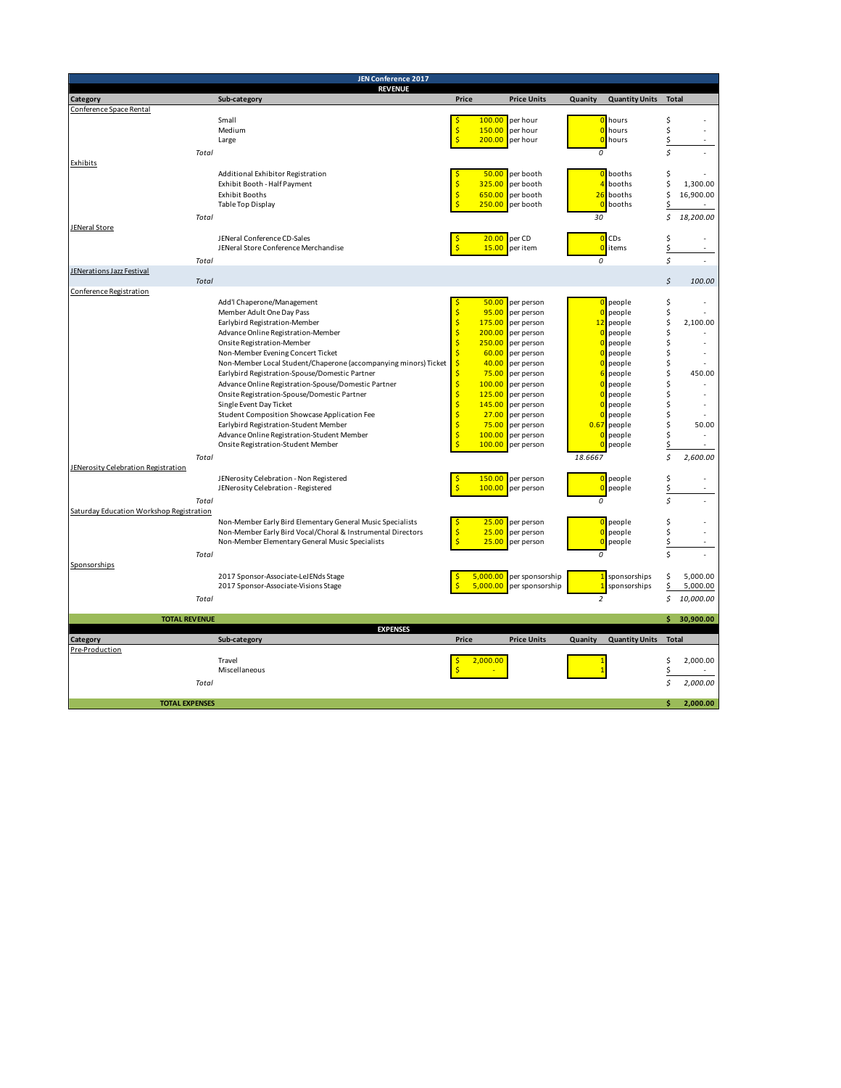| JEN Conference 2017                      |                                                                                  |                                                             |                          |                |                       |                      |             |  |
|------------------------------------------|----------------------------------------------------------------------------------|-------------------------------------------------------------|--------------------------|----------------|-----------------------|----------------------|-------------|--|
|                                          | <b>REVENUE</b>                                                                   |                                                             |                          |                |                       |                      |             |  |
| Category<br>Conference Space Rental      | Sub-category                                                                     | Price                                                       | <b>Price Units</b>       | Quanity        | <b>Quantity Units</b> | <b>Total</b>         |             |  |
|                                          | Small                                                                            | 100.00<br>\$                                                | per hour                 | C              | hours                 | \$                   |             |  |
|                                          | Medium                                                                           | \$<br>150.00                                                | per hour                 | $\overline{0}$ | hours                 | \$                   |             |  |
|                                          | Large                                                                            | \$<br>200.00                                                | per hour                 | $\Omega$       | hours                 | \$                   |             |  |
| Total                                    |                                                                                  |                                                             |                          | 0              |                       | Ś                    |             |  |
| Exhibits                                 |                                                                                  |                                                             |                          |                |                       |                      |             |  |
|                                          | Additional Exhibitor Registration                                                | 50.00                                                       | per booth                |                | 0 booths              | \$                   |             |  |
|                                          | Exhibit Booth - Half Payment                                                     | $\frac{1}{2}$<br>325.00                                     | per booth                | $\overline{a}$ | booths                | \$                   | 1,300.00    |  |
|                                          | <b>Exhibit Booths</b><br>Table Top Display                                       | $\frac{1}{2}$<br>650.00<br>Ś<br>250.00                      | per booth<br>per booth   | 26<br>C        | booths<br>booths      | \$<br>\$             | 16,900.00   |  |
|                                          |                                                                                  |                                                             |                          |                |                       | \$                   |             |  |
| Total<br>JENeral Store                   |                                                                                  |                                                             |                          | 30             |                       |                      | 18,200.00   |  |
|                                          | JENeral Conference CD-Sales                                                      | 20.00                                                       | per CD                   | $\overline{0}$ | <b>CDs</b>            | \$                   |             |  |
|                                          | JENeral Store Conference Merchandise                                             | Ŝ<br>15.00                                                  | per item                 |                | 0 items               | \$                   |             |  |
| Total                                    |                                                                                  |                                                             |                          | 0              |                       | \$                   |             |  |
| JENerations Jazz Festival                |                                                                                  |                                                             |                          |                |                       |                      |             |  |
| Total                                    |                                                                                  |                                                             |                          |                |                       | $\boldsymbol{\zeta}$ | 100.00      |  |
| Conference Registration                  |                                                                                  |                                                             |                          |                |                       |                      |             |  |
|                                          | Add'l Chaperone/Management                                                       | 50.00                                                       | per person               | $\Omega$       | people                | \$                   |             |  |
|                                          | Member Adult One Day Pass                                                        | \$<br>95.00<br>$\frac{1}{2}$                                | per person               | 12             | people                | \$                   | 2,100.00    |  |
|                                          | Earlybird Registration-Member<br>Advance Online Registration-Member              | 175.00<br>\$<br>200.00                                      | per person<br>per person |                | people<br>people      | \$<br>\$             |             |  |
|                                          | Onsite Registration-Member                                                       | \$<br>250.00                                                | per person               |                | people                | \$                   |             |  |
|                                          | Non-Member Evening Concert Ticket                                                | Ś<br>60.00                                                  | per person               |                | people                | \$                   |             |  |
|                                          | Non-Member Local Student/Chaperone (accompanying minors) Ticket                  | Ś<br>40.00                                                  | per person               |                | people                | \$                   |             |  |
|                                          | Earlybird Registration-Spouse/Domestic Partner                                   | Ś<br>75.00                                                  | per person               |                | people                | \$                   | 450.00      |  |
|                                          | Advance Online Registration-Spouse/Domestic Partner                              | $\frac{1}{2}$<br>100.00                                     | per person               |                | people                | \$                   |             |  |
|                                          | Onsite Registration-Spouse/Domestic Partner                                      | \$<br>125.00                                                | per person               |                | people                | \$                   |             |  |
|                                          | Single Event Day Ticket                                                          | Ś<br>145.00                                                 | per person               |                | people                | \$                   |             |  |
|                                          | Student Composition Showcase Application Fee                                     | \$<br>27.00                                                 | per person               |                | people                | \$                   |             |  |
|                                          | Earlybird Registration-Student Member                                            | $\mathsf{\hat{S}}$<br>75.00<br>$\mathsf{\hat{S}}$<br>100.00 | per person               | 0.67           | people                | \$                   | 50.00       |  |
|                                          | Advance Online Registration-Student Member<br>Onsite Registration-Student Member | 100.00                                                      | per person<br>per person | $\bullet$      | people<br>people      | \$<br>\$             |             |  |
| Total                                    |                                                                                  |                                                             |                          | 18.6667        |                       | Ś                    | 2,600.00    |  |
| JENerosity Celebration Registration      |                                                                                  |                                                             |                          |                |                       |                      |             |  |
|                                          | JENerosity Celebration - Non Registered                                          | 150.00<br>S                                                 | per person               | $\Omega$       | people                | \$                   |             |  |
|                                          | JENerosity Celebration - Registered                                              | Š<br>100.00                                                 | per person               | $\overline{0}$ | people                | \$                   |             |  |
| Total                                    |                                                                                  |                                                             |                          | 0              |                       | Ś                    |             |  |
| Saturday Education Workshop Registration |                                                                                  |                                                             |                          |                |                       |                      |             |  |
|                                          | Non-Member Early Bird Elementary General Music Specialists                       | 25.00                                                       | per person               |                | 0 people              | \$                   |             |  |
|                                          | Non-Member Early Bird Vocal/Choral & Instrumental Directors                      | $\frac{1}{2}$<br>25.00                                      | per person               |                | 0 people              | \$                   |             |  |
|                                          | Non-Member Elementary General Music Specialists                                  | 25.00                                                       | per person               | $\overline{0}$ | people                | \$                   |             |  |
| Total                                    |                                                                                  |                                                             |                          | 0              |                       | Ś                    |             |  |
| Sponsorships                             |                                                                                  |                                                             |                          |                |                       |                      |             |  |
|                                          | 2017 Sponsor-Associate-LeJENds Stage                                             | 5,000.00                                                    | per sponsorship          | 1              | sponsorships          | \$                   | 5,000.00    |  |
|                                          | 2017 Sponsor-Associate-Visions Stage                                             | Ś<br>5,000.00                                               | per sponsorship          | $\overline{1}$ | sponsorships          | \$                   | 5,000.00    |  |
| Total                                    |                                                                                  |                                                             |                          | $\overline{2}$ |                       | Ś                    | 10,000.00   |  |
| <b>TOTAL REVENUE</b>                     |                                                                                  |                                                             |                          |                |                       |                      | \$30,900.00 |  |
|                                          | <b>EXPENSES</b>                                                                  | Price                                                       |                          |                |                       |                      |             |  |
| Category<br>Pre-Production               | Sub-category                                                                     |                                                             | <b>Price Units</b>       | Quanity        | <b>Quantity Units</b> | <b>Total</b>         |             |  |
|                                          | Travel                                                                           | 2,000.00<br>S                                               |                          |                |                       | \$                   | 2,000.00    |  |
|                                          | Miscellaneous                                                                    | Ś                                                           |                          |                |                       | \$                   |             |  |
| Total                                    |                                                                                  |                                                             |                          |                |                       | Ś                    | 2,000.00    |  |
|                                          |                                                                                  |                                                             |                          |                |                       |                      |             |  |
| <b>TOTAL EXPENSES</b>                    |                                                                                  |                                                             |                          |                |                       | \$                   | 2,000.00    |  |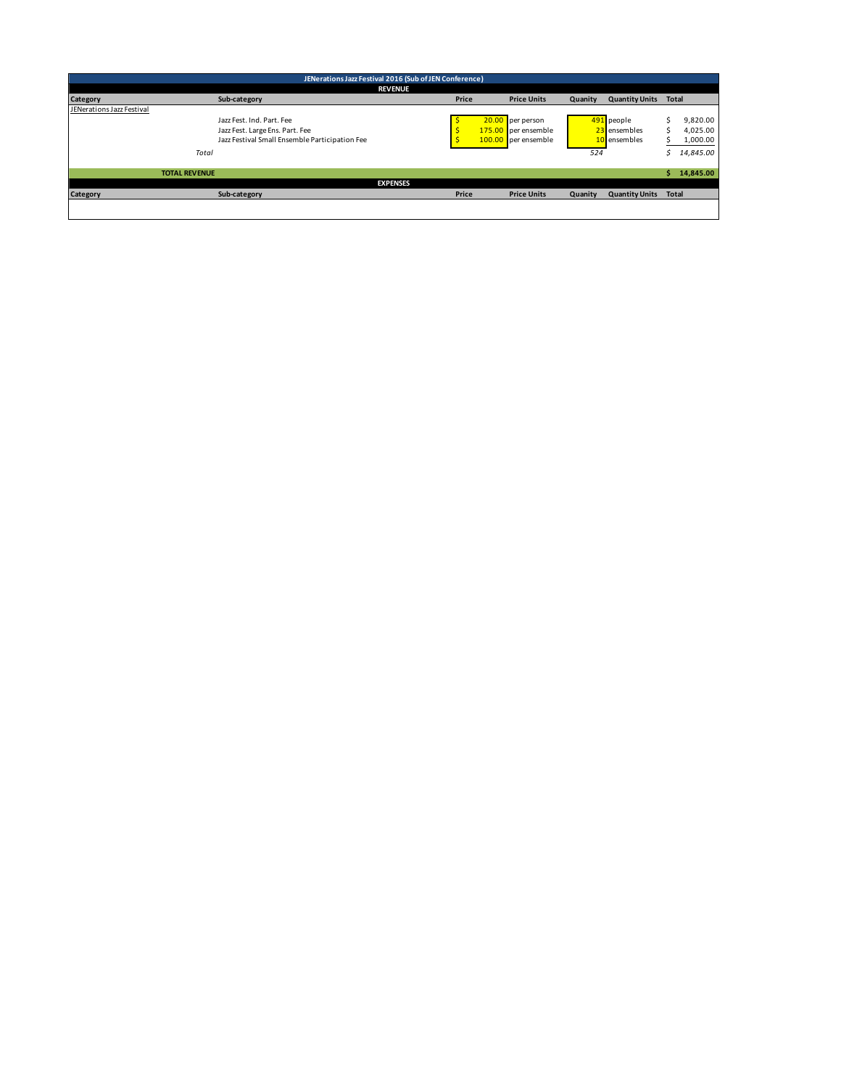|                           | JENerations Jazz Festival 2016 (Sub of JEN Conference) |                                                |                 |       |  |                     |         |                       |       |           |
|---------------------------|--------------------------------------------------------|------------------------------------------------|-----------------|-------|--|---------------------|---------|-----------------------|-------|-----------|
|                           |                                                        |                                                | <b>REVENUE</b>  |       |  |                     |         |                       |       |           |
| Category                  |                                                        | Sub-category                                   |                 | Price |  | <b>Price Units</b>  | Quanity | <b>Quantity Units</b> | Total |           |
| JENerations Jazz Festival |                                                        |                                                |                 |       |  |                     |         |                       |       |           |
|                           |                                                        | Jazz Fest, Ind. Part, Fee                      |                 |       |  | 20.00 per person    |         | 491 people            |       | 9,820.00  |
|                           |                                                        | Jazz Fest. Large Ens. Part. Fee                |                 |       |  | 175.00 per ensemble |         | 23 ensembles          |       | 4.025.00  |
|                           |                                                        | Jazz Festival Small Ensemble Participation Fee |                 |       |  | 100.00 per ensemble |         | 10 ensembles          |       | 1,000.00  |
|                           | Total                                                  |                                                |                 |       |  |                     | 524     |                       |       | 14,845.00 |
|                           |                                                        |                                                |                 |       |  |                     |         |                       |       |           |
|                           | <b>TOTAL REVENUE</b>                                   |                                                |                 |       |  |                     |         |                       |       | 14.845.00 |
|                           |                                                        |                                                | <b>EXPENSES</b> |       |  |                     |         |                       |       |           |
| Category                  |                                                        | Sub-category                                   |                 | Price |  | <b>Price Units</b>  | Quanity | <b>Quantity Units</b> | Total |           |
|                           |                                                        |                                                |                 |       |  |                     |         |                       |       |           |
|                           |                                                        |                                                |                 |       |  |                     |         |                       |       |           |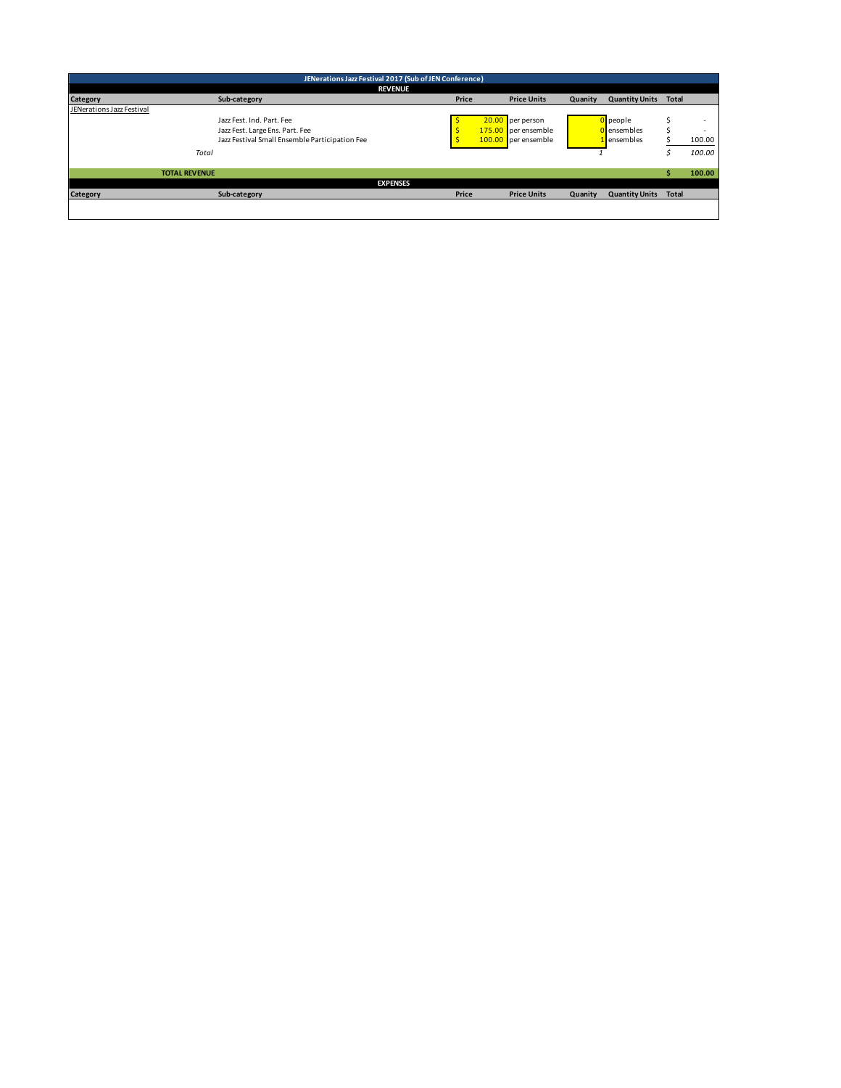|                           | JENerations Jazz Festival 2017 (Sub of JEN Conference) |                                                |                 |       |  |                     |         |                       |              |        |  |
|---------------------------|--------------------------------------------------------|------------------------------------------------|-----------------|-------|--|---------------------|---------|-----------------------|--------------|--------|--|
|                           | <b>REVENUE</b>                                         |                                                |                 |       |  |                     |         |                       |              |        |  |
| Category                  |                                                        | Sub-category                                   |                 | Price |  | <b>Price Units</b>  | Quanity | <b>Quantity Units</b> | <b>Total</b> |        |  |
| JENerations Jazz Festival |                                                        |                                                |                 |       |  |                     |         |                       |              |        |  |
|                           |                                                        | Jazz Fest, Ind. Part, Fee                      |                 |       |  | 20.00 per person    |         | people                |              |        |  |
|                           |                                                        | Jazz Fest. Large Ens. Part. Fee                |                 |       |  | 175.00 per ensemble |         | D ensembles           |              |        |  |
|                           |                                                        | Jazz Festival Small Ensemble Participation Fee |                 |       |  | 100.00 per ensemble |         | Lensembles            |              | 100.00 |  |
|                           | Total                                                  |                                                |                 |       |  |                     |         |                       |              | 100.00 |  |
|                           | <b>TOTAL REVENUE</b>                                   |                                                |                 |       |  |                     |         |                       |              | 100.00 |  |
|                           |                                                        |                                                | <b>EXPENSES</b> |       |  |                     |         |                       |              |        |  |
| Category                  |                                                        | Sub-category                                   |                 | Price |  | <b>Price Units</b>  | Quanity | <b>Quantity Units</b> | <b>Total</b> |        |  |
|                           |                                                        |                                                |                 |       |  |                     |         |                       |              |        |  |
|                           |                                                        |                                                |                 |       |  |                     |         |                       |              |        |  |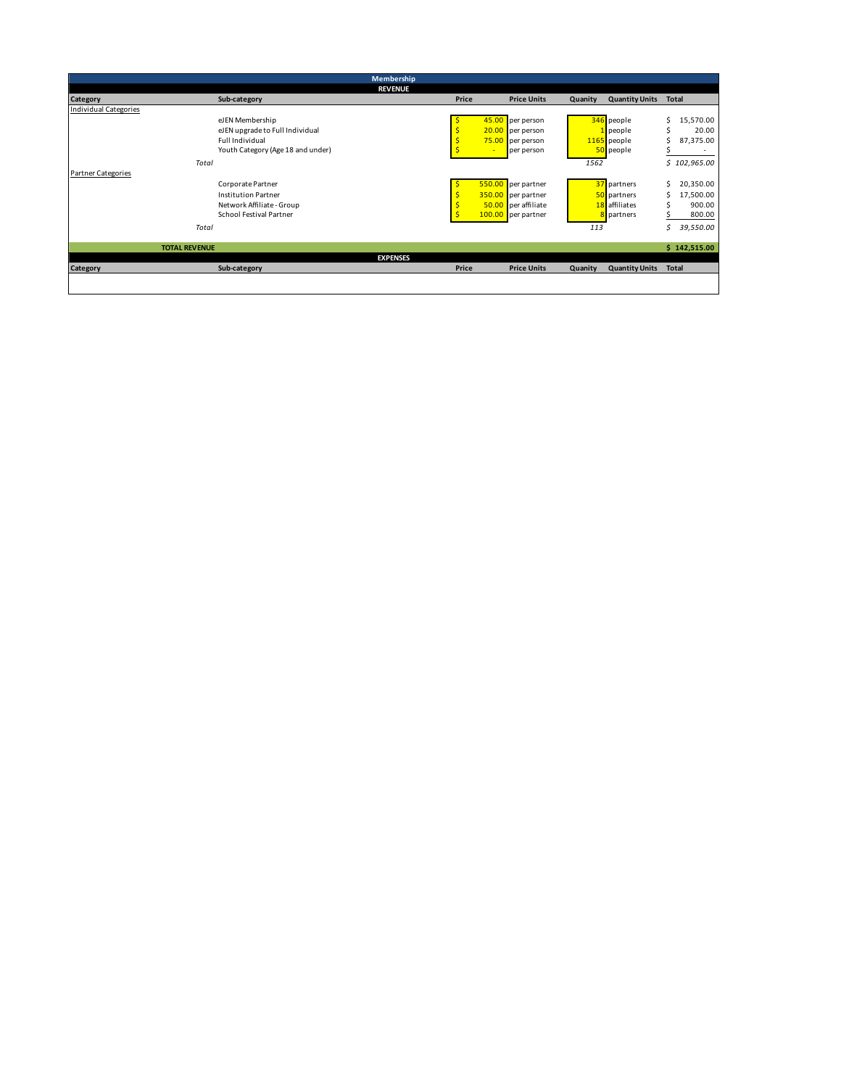|                           |                      |                                   | Membership      |       |        |                     |         |                       |              |              |
|---------------------------|----------------------|-----------------------------------|-----------------|-------|--------|---------------------|---------|-----------------------|--------------|--------------|
|                           |                      |                                   | <b>REVENUE</b>  |       |        |                     |         |                       |              |              |
| Category                  |                      | Sub-category                      |                 | Price |        | <b>Price Units</b>  | Quanity | <b>Quantity Units</b> | <b>Total</b> |              |
| Individual Categories     |                      |                                   |                 |       |        |                     |         |                       |              |              |
|                           |                      | eJEN Membership                   |                 |       | 45.00  | per person          |         | 346 people            | Ś            | 15,570.00    |
|                           |                      | eJEN upgrade to Full Individual   |                 |       | 20.00  | per person          |         | people                | Ś            | 20.00        |
|                           |                      | Full Individual                   |                 |       |        | 75.00 per person    |         | 1165 people           |              | 87,375.00    |
|                           |                      | Youth Category (Age 18 and under) |                 |       |        | per person          |         | 50 people             |              |              |
|                           | Total                |                                   |                 |       |        |                     | 1562    |                       |              | \$102,965.00 |
| <b>Partner Categories</b> |                      |                                   |                 |       |        |                     |         |                       |              |              |
|                           |                      | Corporate Partner                 |                 |       | 550.00 | per partner         |         | 37 partners           | Ś            | 20,350.00    |
|                           |                      | <b>Institution Partner</b>        |                 |       |        | 350.00 per partner  |         | 50 partners           | Ś            | 17,500.00    |
|                           |                      | Network Affiliate - Group         |                 |       |        | 50.00 per affiliate |         | 18 affiliates         |              | 900.00       |
|                           |                      | <b>School Festival Partner</b>    |                 |       |        | 100.00 per partner  |         | partners              |              | 800.00       |
|                           | Total                |                                   |                 |       |        |                     | 113     |                       | Ś            | 39,550.00    |
|                           |                      |                                   |                 |       |        |                     |         |                       |              |              |
|                           | <b>TOTAL REVENUE</b> |                                   |                 |       |        |                     |         |                       |              | \$142,515.00 |
|                           |                      |                                   | <b>EXPENSES</b> |       |        |                     |         |                       |              |              |
| Category                  |                      | Sub-category                      |                 | Price |        | <b>Price Units</b>  | Quanity | <b>Quantity Units</b> | <b>Total</b> |              |
|                           |                      |                                   |                 |       |        |                     |         |                       |              |              |
|                           |                      |                                   |                 |       |        |                     |         |                       |              |              |
|                           |                      |                                   |                 |       |        |                     |         |                       |              |              |
|                           |                      |                                   |                 |       |        |                     |         |                       |              |              |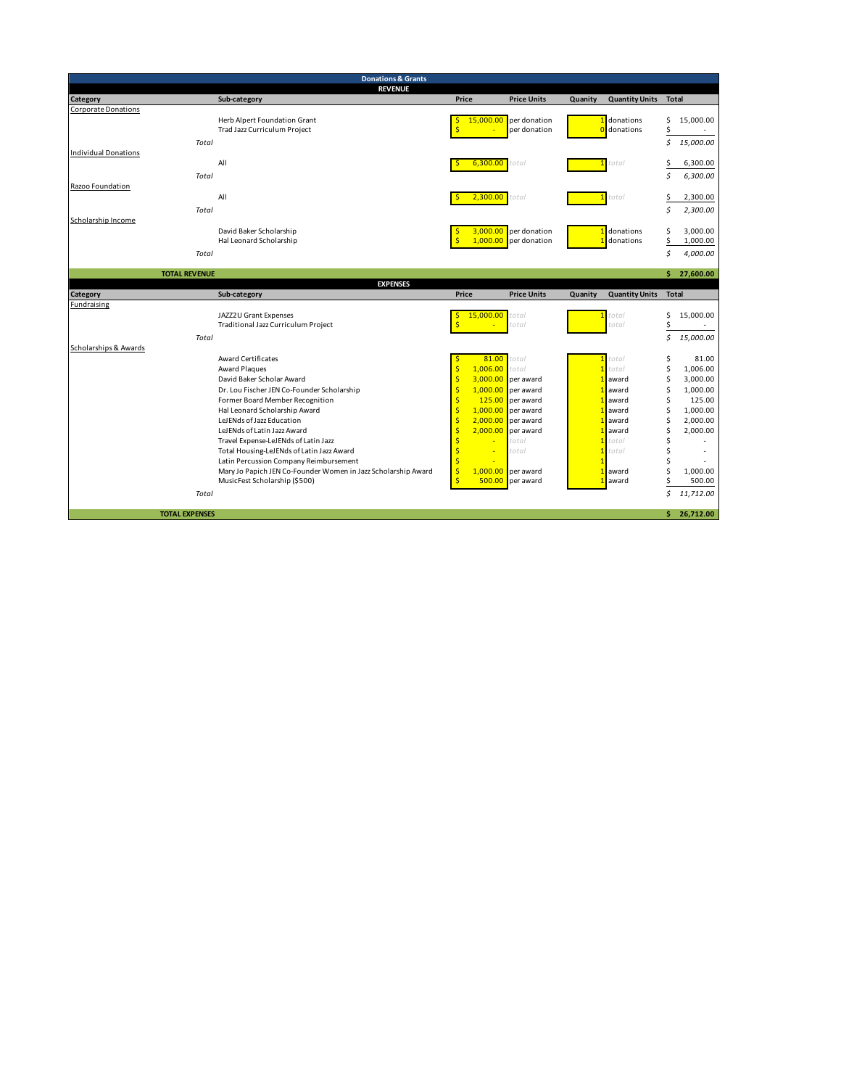|                                      | <b>Donations &amp; Grants</b>                                 |                                      |                              |         |                       |              |                      |
|--------------------------------------|---------------------------------------------------------------|--------------------------------------|------------------------------|---------|-----------------------|--------------|----------------------|
|                                      | <b>REVENUE</b>                                                |                                      |                              |         |                       |              |                      |
| Category                             | Sub-category                                                  | Price                                | <b>Price Units</b>           | Quanity | <b>Quantity Units</b> | <b>Total</b> |                      |
| <b>Corporate Donations</b>           |                                                               | 15,000.00                            |                              |         | 1 donations           |              |                      |
|                                      | Herb Alpert Foundation Grant<br>Trad Jazz Curriculum Project  | S<br>Ŝ                               | per donation<br>per donation |         | <b>0</b> donations    | \$<br>\$     | 15,000.00            |
|                                      |                                                               |                                      |                              |         |                       | \$           | 15,000.00            |
| Total<br><b>Individual Donations</b> |                                                               |                                      |                              |         |                       |              |                      |
|                                      | All                                                           | 6,300.00                             | total                        |         | total                 | \$           | 6,300.00             |
| Total                                |                                                               |                                      |                              |         |                       | Ś.           | 6,300.00             |
| Razoo Foundation                     |                                                               |                                      |                              |         |                       |              |                      |
|                                      | All                                                           | 2,300.00                             | total                        |         | total                 | \$           | 2,300.00             |
| Total                                |                                                               |                                      |                              |         |                       | Ś            | 2,300.00             |
| Scholarship Income                   |                                                               |                                      |                              |         |                       |              |                      |
|                                      | David Baker Scholarship                                       | 3,000.00                             | per donation                 |         | donations             | \$           | 3.000.00             |
|                                      | Hal Leonard Scholarship                                       | $\overline{\mathsf{S}}$<br>1,000.00  | per donation                 |         | donations             | \$           | 1,000.00             |
| Total                                |                                                               |                                      |                              |         |                       | Ś            | 4,000.00             |
|                                      |                                                               |                                      |                              |         |                       |              |                      |
| <b>TOTAL REVENUE</b>                 |                                                               |                                      |                              |         |                       |              | \$27,600.00          |
|                                      | <b>EXPENSES</b>                                               |                                      |                              |         |                       |              |                      |
| Category                             | Sub-category                                                  | Price                                | <b>Price Units</b>           | Quanity | <b>Quantity Units</b> | <b>Total</b> |                      |
| Fundraising                          |                                                               |                                      |                              |         |                       |              |                      |
|                                      | JAZZ2U Grant Expenses                                         | 15,000.00<br>S<br>Ŝ                  | total                        |         | total<br>total        | \$           | 15,000.00<br>×       |
|                                      | Traditional Jazz Curriculum Project                           |                                      | total                        |         |                       | \$           |                      |
| Total                                |                                                               |                                      |                              |         |                       | \$           | 15,000.00            |
| Scholarships & Awards                |                                                               |                                      |                              |         |                       |              |                      |
|                                      | <b>Award Certificates</b>                                     | 81.00                                | total                        |         | total                 | \$           | 81.00                |
|                                      | Award Plaques<br>David Baker Scholar Award                    | $\ddot{\mathsf{S}}$<br>1,006.00<br>Ŝ | total<br>3,000.00 per award  |         | total<br>award        | Ś<br>\$      | 1,006.00<br>3,000.00 |
|                                      | Dr. Lou Fischer JEN Co-Founder Scholarship                    | $\mathsf{\hat{S}}$                   | $1,000.00$ per award         |         | award                 | \$           | 1,000.00             |
|                                      | Former Board Member Recognition                               | $\mathsf{\hat{S}}$                   | 125.00 per award             |         | award                 | Ś            | 125.00               |
|                                      | Hal Leonard Scholarship Award                                 | $\mathsf{\hat{S}}$                   | $1,000.00$ per award         |         | award                 | Ś            | 1,000.00             |
|                                      | LeJENds of Jazz Education                                     | Ŝ                                    | $2,000.00$ per award         |         | award                 | \$           | 2,000.00             |
|                                      | LeJENds of Latin Jazz Award                                   | \$<br>2,000.00                       | per award                    |         | award                 | \$           | 2,000.00             |
|                                      | Travel Expense-LeJENds of Latin Jazz                          | \$                                   | total                        |         | total                 | Ś            |                      |
|                                      | Total Housing-LeJENds of Latin Jazz Award                     | \$<br>٠                              | total                        |         | total                 | Ś            |                      |
|                                      | Latin Percussion Company Reimbursement                        | $\overline{\mathsf{S}}$              |                              |         |                       | Ś            |                      |
|                                      | Mary Jo Papich JEN Co-Founder Women in Jazz Scholarship Award | $\frac{1}{2}$<br>1,000.00            | per award                    |         | award                 | Ś            | 1,000.00             |
|                                      | MusicFest Scholarship (\$500)                                 | $\overline{\mathsf{S}}$<br>500.00    | per award                    |         | award                 | \$           | 500.00               |
| Total                                |                                                               |                                      |                              |         |                       | \$           | 11,712.00            |
|                                      |                                                               |                                      |                              |         |                       |              |                      |
| <b>TOTAL EXPENSES</b>                |                                                               |                                      |                              |         |                       |              | \$26,712.00          |